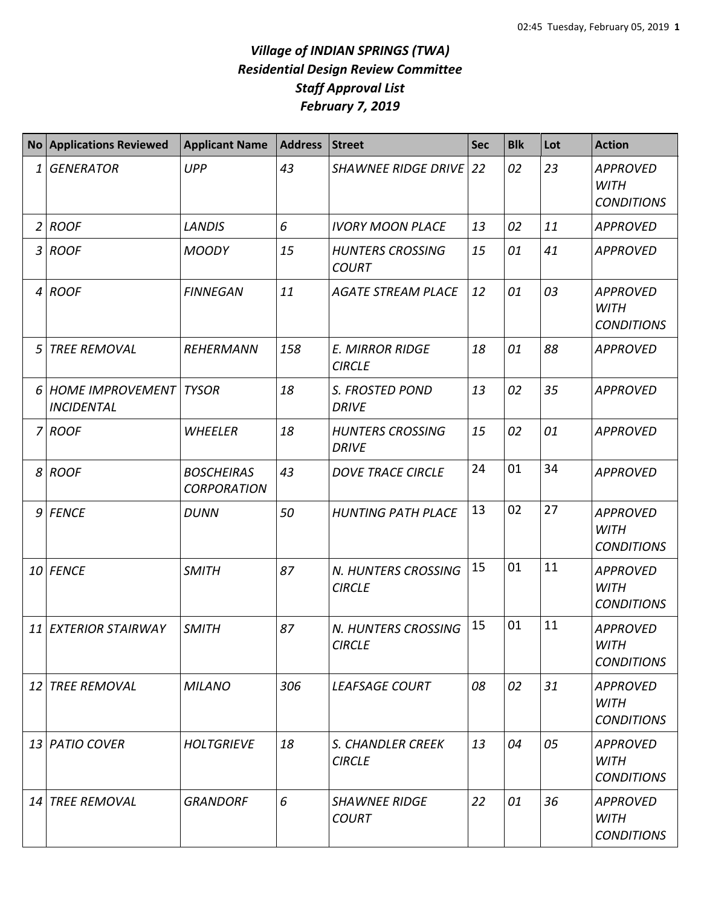## *Village of INDIAN SPRINGS (TWA) Residential Design Review Committee Staff Approval List February 7, 2019*

| <b>No</b>      | <b>Applications Reviewed</b>                 | <b>Applicant Name</b>                   | <b>Address</b> | <b>Street</b>                           | <b>Sec</b> | <b>Blk</b> | Lot | <b>Action</b>                                       |
|----------------|----------------------------------------------|-----------------------------------------|----------------|-----------------------------------------|------------|------------|-----|-----------------------------------------------------|
| 1              | <b>GENERATOR</b>                             | <b>UPP</b>                              | 43             | <b>SHAWNEE RIDGE DRIVE</b>              | 22         | 02         | 23  | <b>APPROVED</b><br><b>WITH</b><br><b>CONDITIONS</b> |
| $\overline{2}$ | <b>ROOF</b>                                  | <b>LANDIS</b>                           | 6              | <b>IVORY MOON PLACE</b>                 | 13         | 02         | 11  | <b>APPROVED</b>                                     |
| 3              | <b>ROOF</b>                                  | <b>MOODY</b>                            | 15             | <b>HUNTERS CROSSING</b><br><b>COURT</b> | 15         | 01         | 41  | <b>APPROVED</b>                                     |
| $\overline{4}$ | <b>ROOF</b>                                  | <b>FINNEGAN</b>                         | 11             | <b>AGATE STREAM PLACE</b>               | 12         | 01         | 03  | <b>APPROVED</b><br><b>WITH</b><br><b>CONDITIONS</b> |
| 5              | <b>TREE REMOVAL</b>                          | <b>REHERMANN</b>                        | 158            | <b>E. MIRROR RIDGE</b><br><b>CIRCLE</b> | 18         | 01         | 88  | <b>APPROVED</b>                                     |
| 6              | <b>HOME IMPROVEMENT</b><br><b>INCIDENTAL</b> | <b>TYSOR</b>                            | 18             | S. FROSTED POND<br><b>DRIVE</b>         | 13         | 02         | 35  | <b>APPROVED</b>                                     |
| 7              | <b>ROOF</b>                                  | <b>WHEELER</b>                          | 18             | <b>HUNTERS CROSSING</b><br><b>DRIVE</b> | 15         | 02         | 01  | <b>APPROVED</b>                                     |
| 8              | <b>ROOF</b>                                  | <b>BOSCHEIRAS</b><br><b>CORPORATION</b> | 43             | <b>DOVE TRACE CIRCLE</b>                | 24         | 01         | 34  | <b>APPROVED</b>                                     |
| 9              | <b>FENCE</b>                                 | <b>DUNN</b>                             | 50             | <b>HUNTING PATH PLACE</b>               | 13         | 02         | 27  | <b>APPROVED</b><br><b>WITH</b><br><b>CONDITIONS</b> |
|                | 10 FENCE                                     | <b>SMITH</b>                            | 87             | N. HUNTERS CROSSING<br><b>CIRCLE</b>    | 15         | 01         | 11  | <b>APPROVED</b><br><b>WITH</b><br><b>CONDITIONS</b> |
| 11             | <b>EXTERIOR STAIRWAY</b>                     | <b>SMITH</b>                            | 87             | N. HUNTERS CROSSING<br><b>CIRCLE</b>    | 15         | 01         | 11  | <b>APPROVED</b><br><b>WITH</b><br><b>CONDITIONS</b> |
| 12             | <b>TREE REMOVAL</b>                          | <b>MILANO</b>                           | 306            | <b>LEAFSAGE COURT</b>                   | 08         | 02         | 31  | <b>APPROVED</b><br><b>WITH</b><br><b>CONDITIONS</b> |
|                | 13 PATIO COVER                               | <b>HOLTGRIEVE</b>                       | 18             | S. CHANDLER CREEK<br><b>CIRCLE</b>      | 13         | 04         | 05  | <b>APPROVED</b><br><b>WITH</b><br><b>CONDITIONS</b> |
| 14             | <b>TREE REMOVAL</b>                          | <b>GRANDORF</b>                         | 6              | <b>SHAWNEE RIDGE</b><br><b>COURT</b>    | 22         | 01         | 36  | <b>APPROVED</b><br><b>WITH</b><br><b>CONDITIONS</b> |